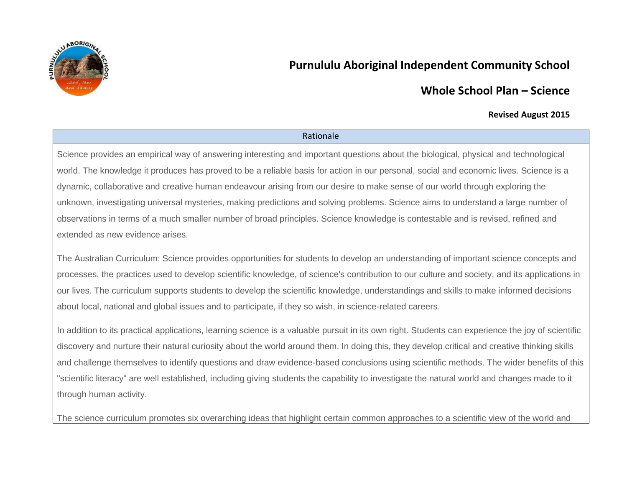

# **Purnululu Aboriginal Independent Community School**

# **Whole School Plan – Science**

## **Revised August 2015**

### Rationale

Science provides an empirical way of answering interesting and important questions about the biological, physical and technological world. The knowledge it produces has proved to be a reliable basis for action in our personal, social and economic lives. Science is a dynamic, collaborative and creative human endeavour arising from our desire to make sense of our world through exploring the unknown, investigating universal mysteries, making predictions and solving problems. Science aims to understand a large number of observations in terms of a much smaller number of broad principles. Science knowledge is contestable and is revised, refined and extended as new evidence arises.

The Australian Curriculum: Science provides opportunities for students to develop an understanding of important science concepts and processes, the practices used to develop scientific knowledge, of science's contribution to our culture and society, and its applications in our lives. The curriculum supports students to develop the scientific knowledge, understandings and skills to make informed decisions about local, national and global issues and to participate, if they so wish, in science-related careers.

In addition to its practical applications, learning science is a valuable pursuit in its own right. Students can experience the joy of scientific discovery and nurture their natural curiosity about the world around them. In doing this, they develop critical and creative thinking skills and challenge themselves to identify questions and draw evidence-based conclusions using scientific methods. The wider benefits of this "scientific literacy" are well established, including giving students the capability to investigate the natural world and changes made to it through human activity.

The science curriculum promotes six overarching ideas that highlight certain common approaches to a scientific view of the world and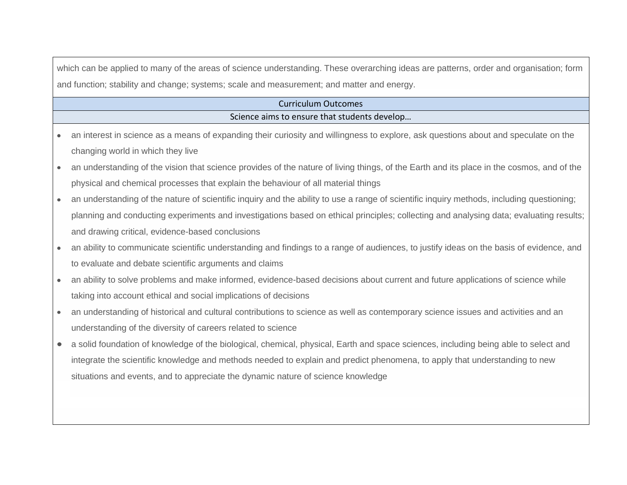which can be applied to many of the areas of science understanding. These overarching ideas are patterns, order and organisation; form and function; stability and change; systems; scale and measurement; and matter and energy.

## Curriculum Outcomes Science aims to ensure that students develop…

- an interest in science as a means of expanding their curiosity and willingness to explore, ask questions about and speculate on the  $\bullet$ changing world in which they live
- an understanding of the vision that science provides of the nature of living things, of the Earth and its place in the cosmos, and of the  $\bullet$ physical and chemical processes that explain the behaviour of all material things
- an understanding of the nature of scientific inquiry and the ability to use a range of scientific inquiry methods, including questioning;  $\bullet$ planning and conducting experiments and investigations based on ethical principles; collecting and analysing data; evaluating results; and drawing critical, evidence-based conclusions
- an ability to communicate scientific understanding and findings to a range of audiences, to justify ideas on the basis of evidence, and to evaluate and debate scientific arguments and claims
- an ability to solve problems and make informed, evidence-based decisions about current and future applications of science while  $\bullet$ taking into account ethical and social implications of decisions
- an understanding of historical and cultural contributions to science as well as contemporary science issues and activities and an understanding of the diversity of careers related to science
- a solid foundation of knowledge of the biological, chemical, physical, Earth and space sciences, including being able to select and  $\bullet$ integrate the scientific knowledge and methods needed to explain and predict phenomena, to apply that understanding to new situations and events, and to appreciate the dynamic nature of science knowledge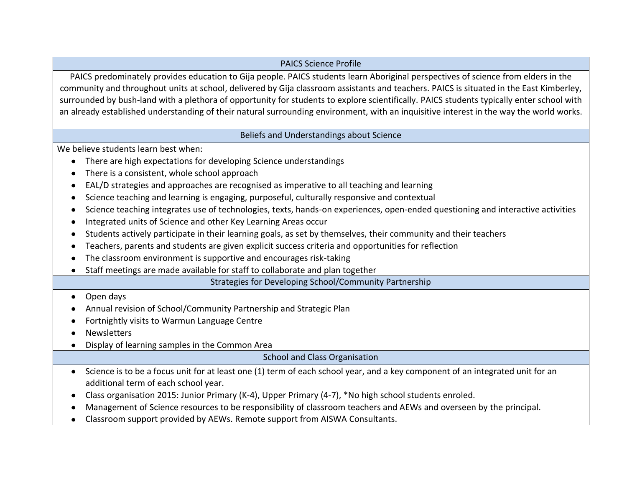## PAICS Science Profile

PAICS predominately provides education to Gija people. PAICS students learn Aboriginal perspectives of science from elders in the community and throughout units at school, delivered by Gija classroom assistants and teachers. PAICS is situated in the East Kimberley, surrounded by bush-land with a plethora of opportunity for students to explore scientifically. PAICS students typically enter school with an already established understanding of their natural surrounding environment, with an inquisitive interest in the way the world works.

Beliefs and Understandings about Science

We believe students learn best when:

- There are high expectations for developing Science understandings
- There is a consistent, whole school approach  $\bullet$
- EAL/D strategies and approaches are recognised as imperative to all teaching and learning
- Science teaching and learning is engaging, purposeful, culturally responsive and contextual  $\bullet$
- Science teaching integrates use of technologies, texts, hands-on experiences, open-ended questioning and interactive activities  $\bullet$
- Integrated units of Science and other Key Learning Areas occur  $\bullet$
- Students actively participate in their learning goals, as set by themselves, their community and their teachers  $\bullet$
- Teachers, parents and students are given explicit success criteria and opportunities for reflection  $\bullet$
- The classroom environment is supportive and encourages risk-taking  $\bullet$
- Staff meetings are made available for staff to collaborate and plan together  $\bullet$

Strategies for Developing School/Community Partnership

#### Open days  $\bullet$

- Annual revision of School/Community Partnership and Strategic Plan
- Fortnightly visits to Warmun Language Centre
- **Newsletters**  $\bullet$
- Display of learning samples in the Common Area  $\bullet$

School and Class Organisation

- Science is to be a focus unit for at least one (1) term of each school year, and a key component of an integrated unit for an additional term of each school year.
- Class organisation 2015: Junior Primary (K-4), Upper Primary (4-7), \*No high school students enroled.
- Management of Science resources to be responsibility of classroom teachers and AEWs and overseen by the principal.  $\bullet$
- Classroom support provided by AEWs. Remote support from AISWA Consultants.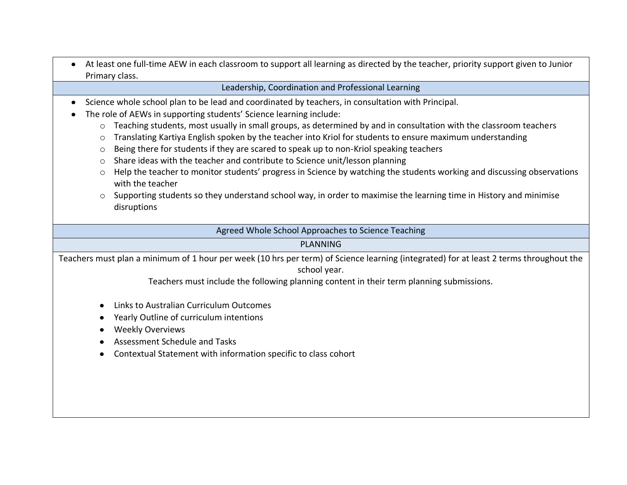At least one full-time AEW in each classroom to support all learning as directed by the teacher, priority support given to Junior Primary class.

## Leadership, Coordination and Professional Learning

- Science whole school plan to be lead and coordinated by teachers, in consultation with Principal.  $\bullet$
- The role of AEWs in supporting students' Science learning include:  $\bullet$ 
	- $\circ$  Teaching students, most usually in small groups, as determined by and in consultation with the classroom teachers
	- o Translating Kartiya English spoken by the teacher into Kriol for students to ensure maximum understanding
	- $\circ$  Being there for students if they are scared to speak up to non-Kriol speaking teachers
	- $\circ$  Share ideas with the teacher and contribute to Science unit/lesson planning
	- $\circ$  Help the teacher to monitor students' progress in Science by watching the students working and discussing observations with the teacher
	- $\circ$  Supporting students so they understand school way, in order to maximise the learning time in History and minimise disruptions

Agreed Whole School Approaches to Science Teaching

## PLANNING

Teachers must plan a minimum of 1 hour per week (10 hrs per term) of Science learning (integrated) for at least 2 terms throughout the school year.

Teachers must include the following planning content in their term planning submissions.

- Links to Australian Curriculum Outcomes
- Yearly Outline of curriculum intentions
- Weekly Overviews
- Assessment Schedule and Tasks
- Contextual Statement with information specific to class cohort